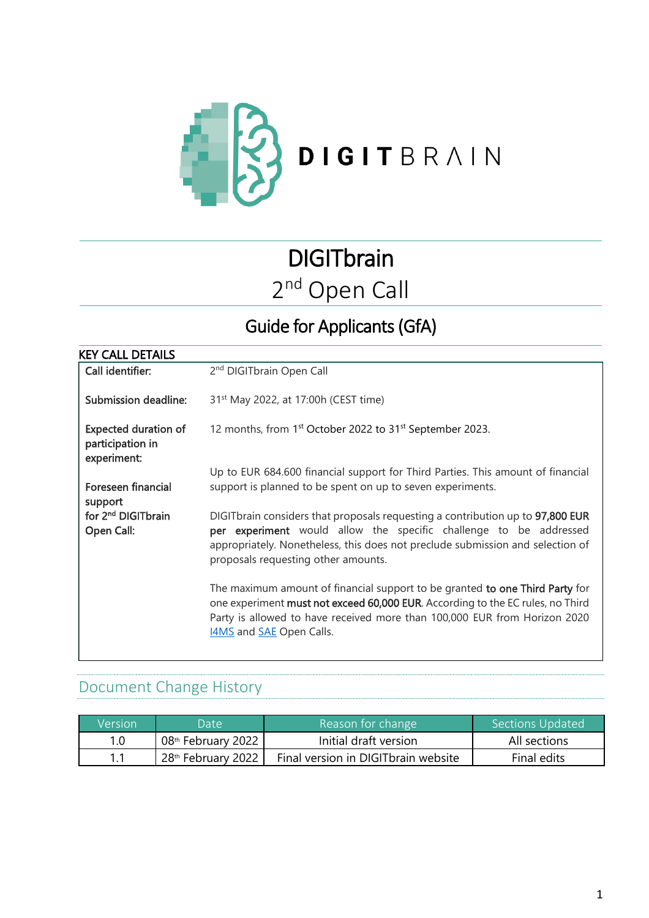

# **DIGITbrain** 2<sup>nd</sup> Open Call

## Guide for Applicants (GfA)

| <b>KEY CALL DETAILS</b>                                        |                                                                                                                                                                                                                                                                                |
|----------------------------------------------------------------|--------------------------------------------------------------------------------------------------------------------------------------------------------------------------------------------------------------------------------------------------------------------------------|
| Call identifier:                                               | 2 <sup>nd</sup> DIGITbrain Open Call                                                                                                                                                                                                                                           |
| Submission deadline:                                           | 31 <sup>st</sup> May 2022, at 17:00h (CEST time)                                                                                                                                                                                                                               |
| <b>Expected duration of</b><br>participation in<br>experiment: | 12 months, from 1 <sup>st</sup> October 2022 to 31 <sup>st</sup> September 2023.                                                                                                                                                                                               |
| Foreseen financial<br>support                                  | Up to EUR 684.600 financial support for Third Parties. This amount of financial<br>support is planned to be spent on up to seven experiments.                                                                                                                                  |
| for 2 <sup>nd</sup> DIGITbrain<br>Open Call:                   | DIGITbrain considers that proposals requesting a contribution up to 97,800 EUR<br>per experiment would allow the specific challenge to be addressed<br>appropriately. Nonetheless, this does not preclude submission and selection of<br>proposals requesting other amounts.   |
|                                                                | The maximum amount of financial support to be granted to one Third Party for<br>one experiment must not exceed 60,000 EUR. According to the EC rules, no Third<br>Party is allowed to have received more than 100,000 EUR from Horizon 2020<br>14MS and <b>SAE</b> Open Calls. |

### Document Change History

| Version | Date \               | Reason for change                    | Sections Updated |
|---------|----------------------|--------------------------------------|------------------|
| 1.0     | $08th$ February 2022 | Initial draft version                | All sections     |
|         | $28th$ February 2022 | Final version in DIGIT brain website | Final edits      |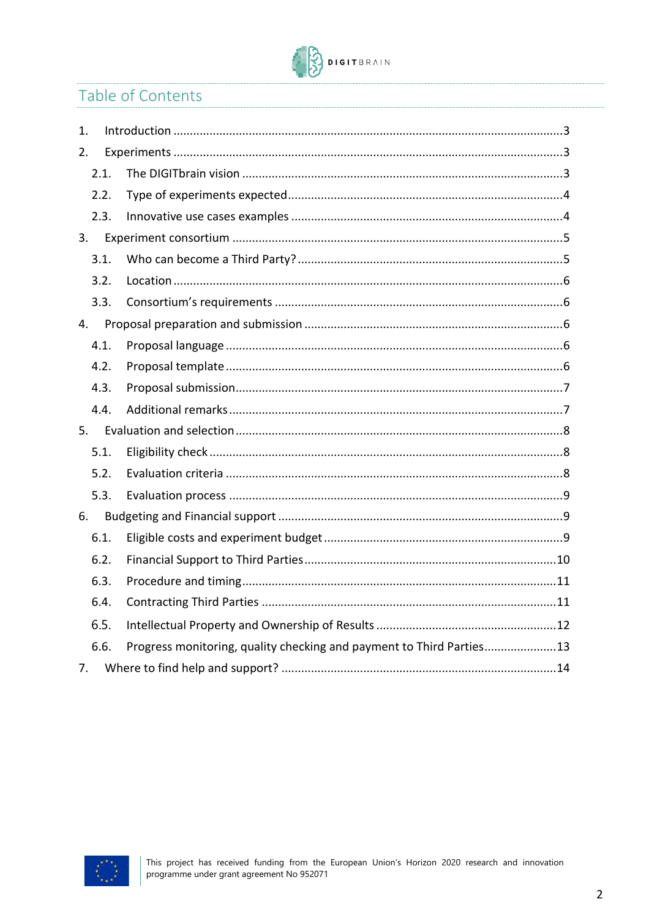

### Table of Contents

| 1.   |      |                                                                      |
|------|------|----------------------------------------------------------------------|
| 2.   |      |                                                                      |
|      | 2.1. |                                                                      |
|      | 2.2. |                                                                      |
|      | 2.3. |                                                                      |
| 3.   |      |                                                                      |
|      | 3.1. |                                                                      |
|      | 3.2. |                                                                      |
|      | 3.3. |                                                                      |
| 4.   |      |                                                                      |
|      | 4.1. |                                                                      |
| 4.2. |      |                                                                      |
|      | 4.3. |                                                                      |
|      | 4.4. |                                                                      |
| 5.   |      |                                                                      |
|      | 5.1. |                                                                      |
|      | 5.2. |                                                                      |
|      | 5.3. |                                                                      |
| 6.   |      |                                                                      |
|      | 6.1. |                                                                      |
|      | 6.2. |                                                                      |
|      | 6.3. |                                                                      |
|      | 6.4. |                                                                      |
|      | 6.5. |                                                                      |
|      | 6.6. | Progress monitoring, quality checking and payment to Third Parties13 |
| 7.   |      |                                                                      |

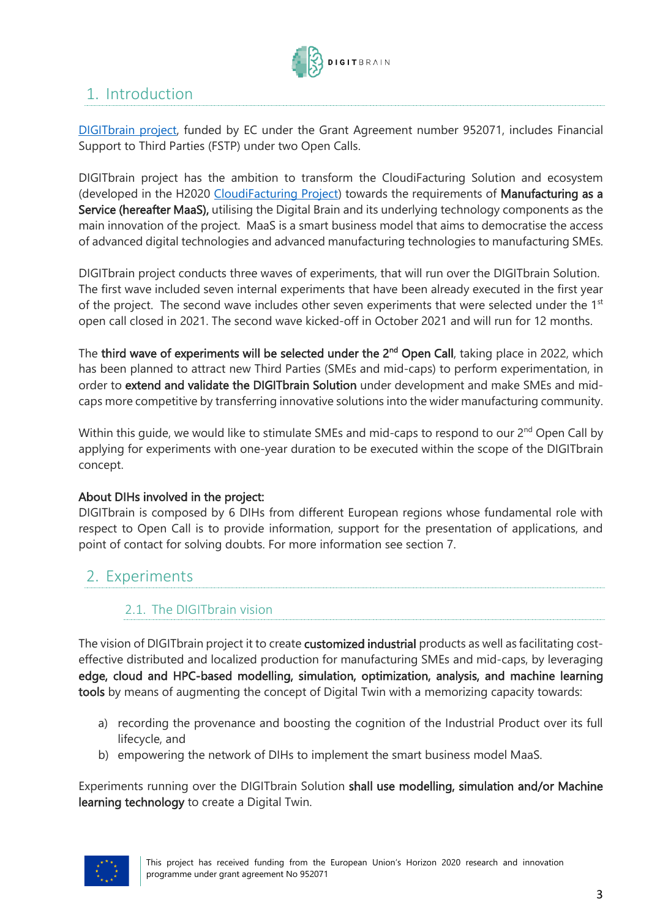

### <span id="page-2-0"></span>1. Introduction

[DIGITbrain](https://digitbrain.eu/) project, funded by EC under the Grant Agreement number 952071, includes Financial Support to Third Parties (FSTP) under two Open Calls.

DIGITbrain project has the ambition to transform the CloudiFacturing Solution and ecosystem (developed in the H2020 [CloudiFacturing Project\)](https://www.cloudifacturing.eu/) towards the requirements of Manufacturing as a Service (hereafter MaaS), utilising the Digital Brain and its underlying technology components as the main innovation of the project. MaaS is a smart business model that aims to democratise the access of advanced digital technologies and advanced manufacturing technologies to manufacturing SMEs.

DIGITbrain project conducts three waves of experiments, that will run over the DIGITbrain Solution. The first wave included seven internal experiments that have been already executed in the first year of the project. The second wave includes other seven experiments that were selected under the  $1<sup>st</sup>$ open call closed in 2021. The second wave kicked-off in October 2021 and will run for 12 months.

The third wave of experiments will be selected under the 2<sup>nd</sup> Open Call, taking place in 2022, which has been planned to attract new Third Parties (SMEs and mid-caps) to perform experimentation, in order to extend and validate the DIGITbrain Solution under development and make SMEs and midcaps more competitive by transferring innovative solutions into the wider manufacturing community.

Within this guide, we would like to stimulate SMEs and mid-caps to respond to our 2<sup>nd</sup> Open Call by applying for experiments with one-year duration to be executed within the scope of the DIGITbrain concept.

#### About DIHs involved in the project:

DIGITbrain is composed by 6 DIHs from different European regions whose fundamental role with respect to Open Call is to provide information, support for the presentation of applications, and point of contact for solving doubts. For more information see section 7.

### <span id="page-2-1"></span>2. Experiments

### <span id="page-2-2"></span>2.1. The DIGITbrain vision

The vision of DIGITbrain project it to create customized industrial products as well as facilitating costeffective distributed and localized production for manufacturing SMEs and mid-caps, by leveraging edge, cloud and HPC-based modelling, simulation, optimization, analysis, and machine learning tools by means of augmenting the concept of Digital Twin with a memorizing capacity towards:

- a) recording the provenance and boosting the cognition of the Industrial Product over its full lifecycle, and
- b) empowering the network of DIHs to implement the smart business model MaaS.

Experiments running over the DIGITbrain Solution shall use modelling, simulation and/or Machine learning technology to create a Digital Twin.

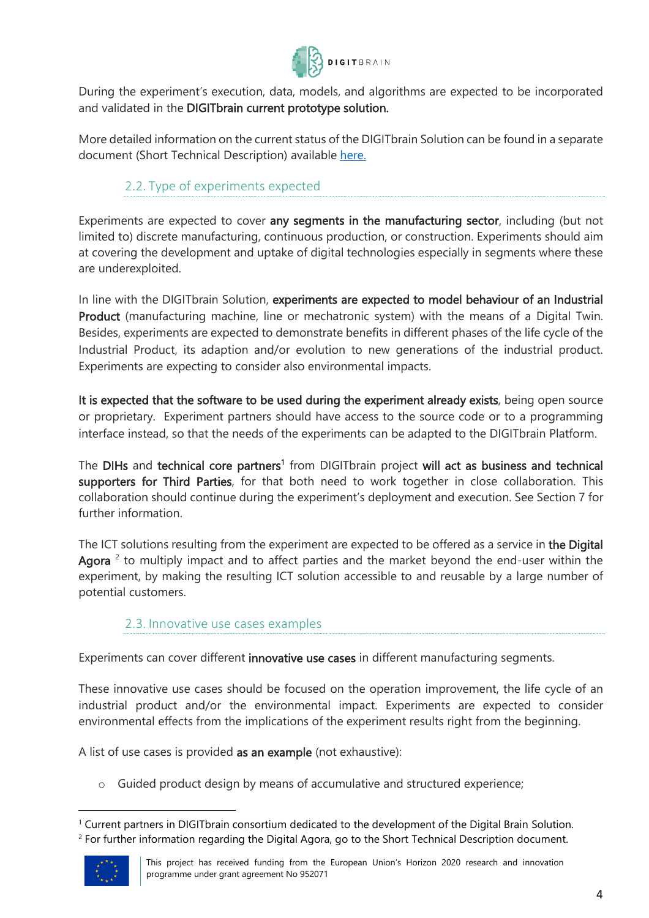

During the experiment's execution, data, models, and algorithms are expected to be incorporated and validated in the DIGITbrain current prototype solution.

More detailed information on the current status of the DIGITbrain Solution can be found in a separate document (Short Technical Description) available [here.](https://digitbrain.eu/open-calls/)

### 2.2. Type of experiments expected

<span id="page-3-0"></span>Experiments are expected to cover any segments in the manufacturing sector, including (but not limited to) discrete manufacturing, continuous production, or construction. Experiments should aim at covering the development and uptake of digital technologies especially in segments where these are underexploited.

In line with the DIGITbrain Solution, experiments are expected to model behaviour of an Industrial Product (manufacturing machine, line or mechatronic system) with the means of a Digital Twin. Besides, experiments are expected to demonstrate benefits in different phases of the life cycle of the Industrial Product, its adaption and/or evolution to new generations of the industrial product. Experiments are expecting to consider also environmental impacts.

It is expected that the software to be used during the experiment already exists, being open source or proprietary. Experiment partners should have access to the source code or to a programming interface instead, so that the needs of the experiments can be adapted to the DIGITbrain Platform.

The DIHs and technical core partners<sup>1</sup> from DIGITbrain project will act as business and technical supporters for Third Parties, for that both need to work together in close collaboration. This collaboration should continue during the experiment's deployment and execution. See Section 7 for further information.

The ICT solutions resulting from the experiment are expected to be offered as a service in the Digital Agora  $2$  to multiply impact and to affect parties and the market beyond the end-user within the experiment, by making the resulting ICT solution accessible to and reusable by a large number of potential customers.

### 2.3. Innovative use cases examples

<span id="page-3-1"></span>Experiments can cover different innovative use cases in different manufacturing segments.

These innovative use cases should be focused on the operation improvement, the life cycle of an industrial product and/or the environmental impact. Experiments are expected to consider environmental effects from the implications of the experiment results right from the beginning.

A list of use cases is provided as an example (not exhaustive):

o Guided product design by means of accumulative and structured experience;

<sup>&</sup>lt;sup>1</sup> Current partners in DIGITbrain consortium dedicated to the development of the Digital Brain Solution. <sup>2</sup> For further information regarding the Digital Agora, go to the Short Technical Description document.



This project has received funding from the European Union's Horizon 2020 research and innovation programme under grant agreement No 952071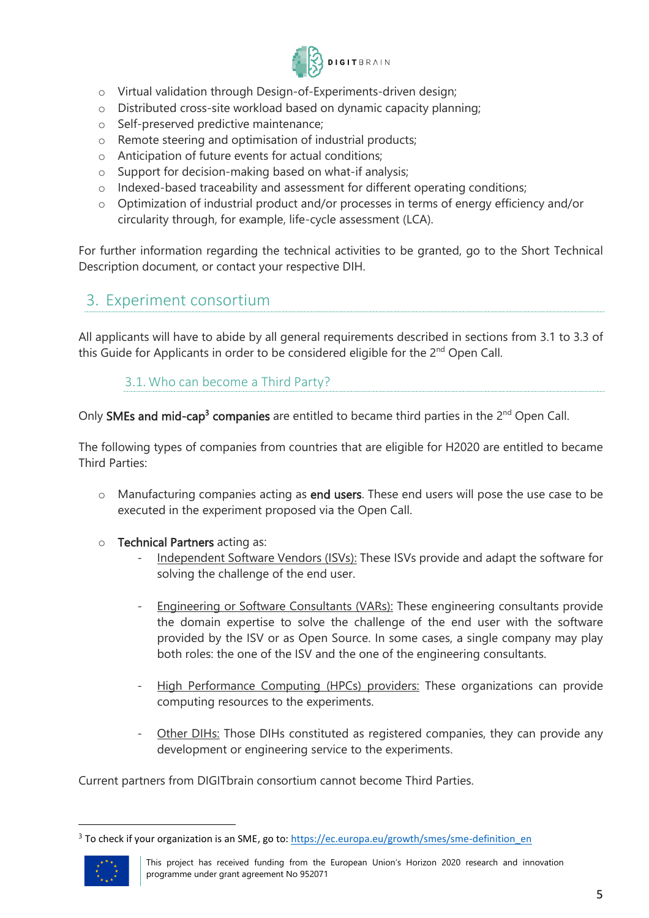

- o Virtual validation through Design-of-Experiments-driven design;
- o Distributed cross-site workload based on dynamic capacity planning;
- o Self-preserved predictive maintenance;
- o Remote steering and optimisation of industrial products;
- o Anticipation of future events for actual conditions;
- o Support for decision-making based on what-if analysis;
- o Indexed-based traceability and assessment for different operating conditions;
- o Optimization of industrial product and/or processes in terms of energy efficiency and/or circularity through, for example, life-cycle assessment (LCA).

For further information regarding the technical activities to be granted, go to the Short Technical Description document, or contact your respective DIH.

### <span id="page-4-0"></span>3. Experiment consortium

<span id="page-4-1"></span>All applicants will have to abide by all general requirements described in sections from 3.1 to 3.3 of this Guide for Applicants in order to be considered eligible for the 2<sup>nd</sup> Open Call.

### 3.1. Who can become a Third Party?

Only **SMEs and mid-cap<sup>3</sup> companies** are entitled to became third parties in the 2<sup>nd</sup> Open Call.

The following types of companies from countries that are eligible for H2020 are entitled to became Third Parties:

- o Manufacturing companies acting as end users. These end users will pose the use case to be executed in the experiment proposed via the Open Call.
- o Technical Partners acting as:
	- Independent Software Vendors (ISVs): These ISVs provide and adapt the software for solving the challenge of the end user.
	- Engineering or Software Consultants (VARs): These engineering consultants provide the domain expertise to solve the challenge of the end user with the software provided by the ISV or as Open Source. In some cases, a single company may play both roles: the one of the ISV and the one of the engineering consultants.
	- High Performance Computing (HPCs) providers: These organizations can provide computing resources to the experiments.
	- Other DIHs: Those DIHs constituted as registered companies, they can provide any development or engineering service to the experiments.

Current partners from DIGITbrain consortium cannot become Third Parties.

<sup>&</sup>lt;sup>3</sup> To check if your organization is an SME, go to[: https://ec.europa.eu/growth/smes/sme-definition\\_en](https://ec.europa.eu/growth/smes/sme-definition_en)

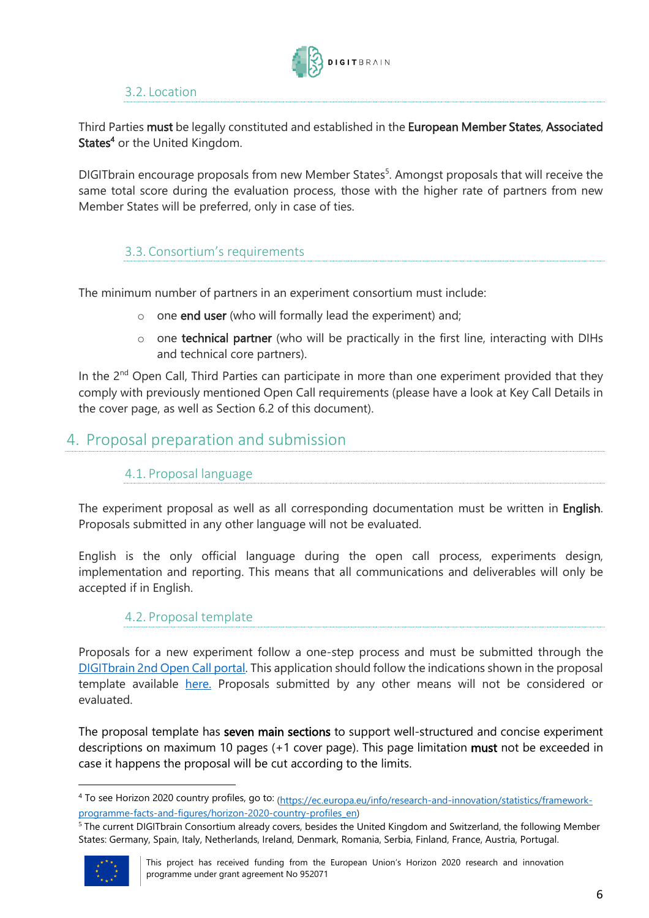

### 3.2. Location

<span id="page-5-0"></span>Third Parties must be legally constituted and established in the European Member States, Associated States<sup>4</sup> or the United Kingdom.

DIGITbrain encourage proposals from new Member States<sup>5</sup>. Amongst proposals that will receive the same total score during the evaluation process, those with the higher rate of partners from new Member States will be preferred, only in case of ties.

### <span id="page-5-1"></span>3.3. Consortium's requirements

The minimum number of partners in an experiment consortium must include:

- o one end user (who will formally lead the experiment) and;
- o one technical partner (who will be practically in the first line, interacting with DIHs and technical core partners).

In the  $2^{nd}$  Open Call, Third Parties can participate in more than one experiment provided that they comply with previously mentioned Open Call requirements (please have a look at Key Call Details in the cover page, as well as Section 6.2 of this document).

### <span id="page-5-3"></span><span id="page-5-2"></span>4. Proposal preparation and submission

### 4.1. Proposal language

The experiment proposal as well as all corresponding documentation must be written in **English**. Proposals submitted in any other language will not be evaluated.

<span id="page-5-4"></span>English is the only official language during the open call process, experiments design, implementation and reporting. This means that all communications and deliverables will only be accepted if in English.

### 4.2. Proposal template

Proposals for a new experiment follow a one-step process and must be submitted through the [DIGITbrain 2nd Open Call portal.](https://digitbrain-2nd-open-call.fundingbox.com/) This application should follow the indications shown in the proposal template available [here.](https://digitbrain.eu/open-calls) Proposals submitted by any other means will not be considered or evaluated.

The proposal template has seven main sections to support well-structured and concise experiment descriptions on maximum 10 pages (+1 cover page). This page limitation must not be exceeded in case it happens the proposal will be cut according to the limits.

<sup>5</sup> The current DIGITbrain Consortium already covers, besides the United Kingdom and Switzerland, the following Member States: Germany, Spain, Italy, Netherlands, Ireland, Denmark, Romania, Serbia, Finland, France, Austria, Portugal.



This project has received funding from the European Union's Horizon 2020 research and innovation programme under grant agreement No 952071

<sup>&</sup>lt;sup>4</sup> To see Horizon 2020 country profiles, go to: <sub>(https://ec.europa.eu/info/research-and-innovation/statistics/framework-</sub> [programme-facts-and-figures/horizon-2020-country-profiles\\_en\)](https://ec.europa.eu/info/research-and-innovation/statistics/framework-programme-facts-and-figures/horizon-2020-country-profiles_en)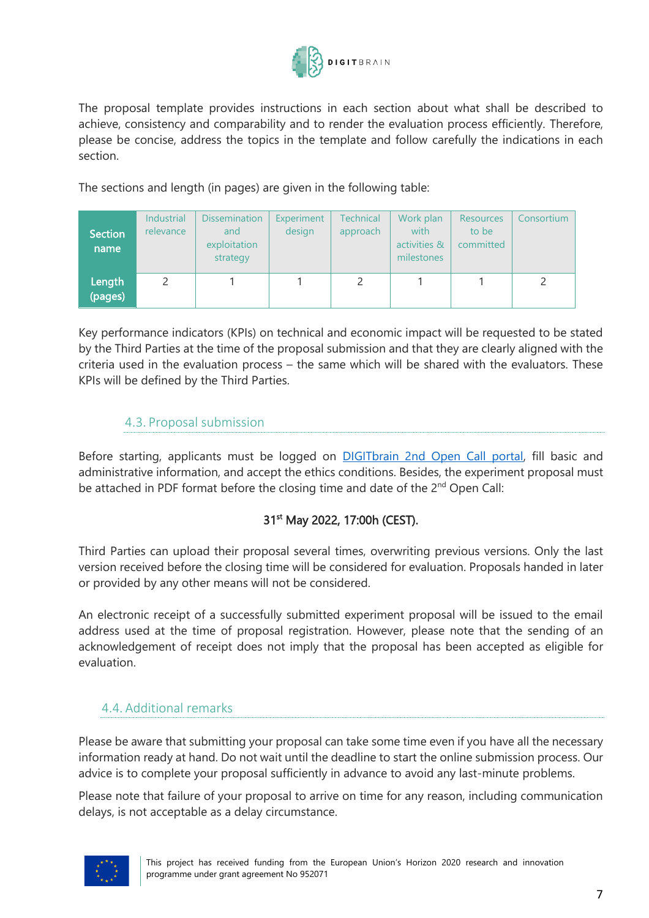

The proposal template provides instructions in each section about what shall be described to achieve, consistency and comparability and to render the evaluation process efficiently. Therefore, please be concise, address the topics in the template and follow carefully the indications in each section.

The sections and length (in pages) are given in the following table:

| <b>Section</b><br>name | <b>Industrial</b><br>relevance | <b>Dissemination</b><br>and<br>exploitation<br>strategy | Experiment<br>design | <b>Technical</b><br>approach | Work plan<br>with<br>activities &<br>milestones | <b>Resources</b><br>to be<br>committed | Consortium |
|------------------------|--------------------------------|---------------------------------------------------------|----------------------|------------------------------|-------------------------------------------------|----------------------------------------|------------|
| Length<br>(pages)      |                                |                                                         |                      |                              |                                                 |                                        |            |

Key performance indicators (KPIs) on technical and economic impact will be requested to be stated by the Third Parties at the time of the proposal submission and that they are clearly aligned with the criteria used in the evaluation process – the same which will be shared with the evaluators. These KPIs will be defined by the Third Parties.

### 4.3. Proposal submission

<span id="page-6-0"></span>Before starting, applicants must be logged on **DIGITbrain 2nd Open Call portal**, fill basic and administrative information, and accept the ethics conditions. Besides, the experiment proposal must be attached in PDF format before the closing time and date of the  $2^{nd}$  Open Call:

### 31<sup>st</sup> May 2022, 17:00h (CEST).

Third Parties can upload their proposal several times, overwriting previous versions. Only the last version received before the closing time will be considered for evaluation. Proposals handed in later or provided by any other means will not be considered.

An electronic receipt of a successfully submitted experiment proposal will be issued to the email address used at the time of proposal registration. However, please note that the sending of an acknowledgement of receipt does not imply that the proposal has been accepted as eligible for evaluation.

### <span id="page-6-1"></span>4.4. Additional remarks

Please be aware that submitting your proposal can take some time even if you have all the necessary information ready at hand. Do not wait until the deadline to start the online submission process. Our advice is to complete your proposal sufficiently in advance to avoid any last-minute problems.

Please note that failure of your proposal to arrive on time for any reason, including communication delays, is not acceptable as a delay circumstance.

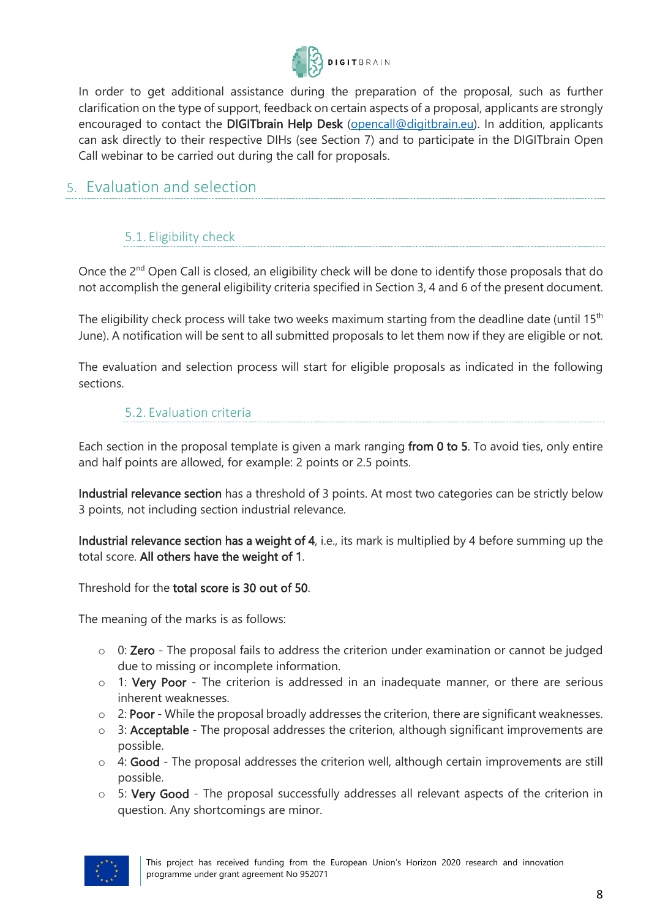

In order to get additional assistance during the preparation of the proposal, such as further clarification on the type of support, feedback on certain aspects of a proposal, applicants are strongly encouraged to contact the DIGITbrain Help Desk [\(opencall@digitbrain.eu\)](mailto:opencall@digitbrain.eu). In addition, applicants can ask directly to their respective DIHs (see Section 7) and to participate in the DIGITbrain Open Call webinar to be carried out during the call for proposals.

### <span id="page-7-1"></span><span id="page-7-0"></span>5. Evaluation and selection

### 5.1. Eligibility check

Once the 2<sup>nd</sup> Open Call is closed, an eligibility check will be done to identify those proposals that do not accomplish the general eligibility criteria specified in Section 3, 4 and 6 of the present document.

The eligibility check process will take two weeks maximum starting from the deadline date (until 15<sup>th</sup> June). A notification will be sent to all submitted proposals to let them now if they are eligible or not.

<span id="page-7-2"></span>The evaluation and selection process will start for eligible proposals as indicated in the following sections.

### 5.2. Evaluation criteria

Each section in the proposal template is given a mark ranging from 0 to 5. To avoid ties, only entire and half points are allowed, for example: 2 points or 2.5 points.

Industrial relevance section has a threshold of 3 points. At most two categories can be strictly below 3 points, not including section industrial relevance.

Industrial relevance section has a weight of 4, i.e., its mark is multiplied by 4 before summing up the total score. All others have the weight of 1.

Threshold for the total score is 30 out of 50.

The meaning of the marks is as follows:

- $\circ$  0: **Zero** The proposal fails to address the criterion under examination or cannot be judged due to missing or incomplete information.
- o 1: Very Poor The criterion is addressed in an inadequate manner, or there are serious inherent weaknesses.
- $\circ$  2: Poor While the proposal broadly addresses the criterion, there are significant weaknesses.
- $\circ$  3: Acceptable The proposal addresses the criterion, although significant improvements are possible.
- $\circ$  4: Good The proposal addresses the criterion well, although certain improvements are still possible.
- o 5: Very Good The proposal successfully addresses all relevant aspects of the criterion in question. Any shortcomings are minor.

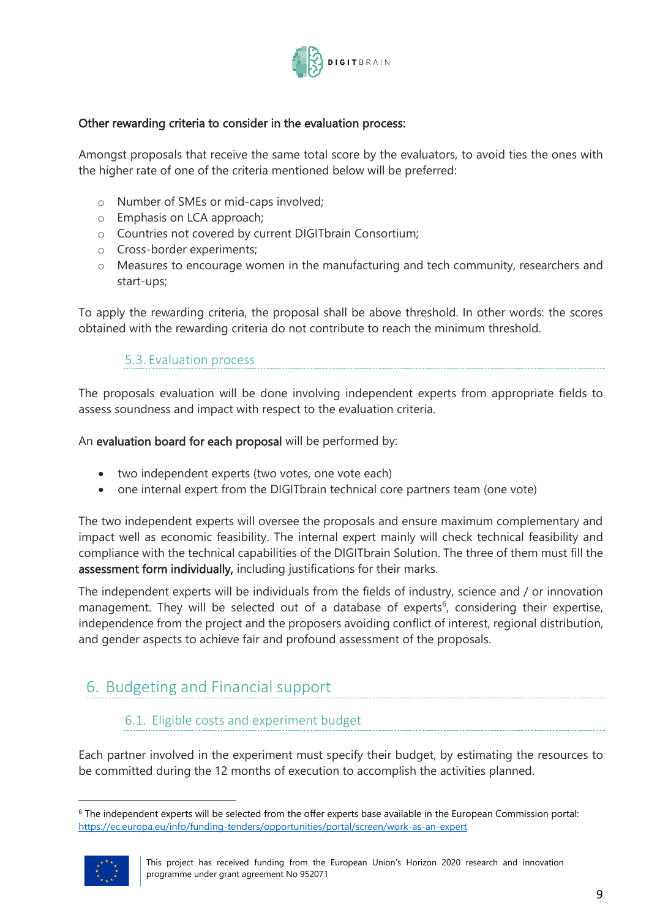

#### Other rewarding criteria to consider in the evaluation process:

Amongst proposals that receive the same total score by the evaluators, to avoid ties the ones with the higher rate of one of the criteria mentioned below will be preferred:

- o Number of SMEs or mid-caps involved;
- o Emphasis on LCA approach;
- o Countries not covered by current DIGITbrain Consortium;
- o Cross-border experiments;
- o Measures to encourage women in the manufacturing and tech community, researchers and start-ups;

To apply the rewarding criteria, the proposal shall be above threshold. In other words: the scores obtained with the rewarding criteria do not contribute to reach the minimum threshold.

### 5.3. Evaluation process

<span id="page-8-0"></span>The proposals evaluation will be done involving independent experts from appropriate fields to assess soundness and impact with respect to the evaluation criteria.

#### An evaluation board for each proposal will be performed by:

- two independent experts (two votes, one vote each)
- one internal expert from the DIGITbrain technical core partners team (one vote)

The two independent experts will oversee the proposals and ensure maximum complementary and impact well as economic feasibility. The internal expert mainly will check technical feasibility and compliance with the technical capabilities of the DIGITbrain Solution. The three of them must fill the assessment form individually, including justifications for their marks.

The independent experts will be individuals from the fields of industry, science and / or innovation management. They will be selected out of a database of experts<sup>6</sup>, considering their expertise, independence from the project and the proposers avoiding conflict of interest, regional distribution, and gender aspects to achieve fair and profound assessment of the proposals.

### <span id="page-8-1"></span>6. Budgeting and Financial support

### <span id="page-8-2"></span>6.1. Eligible costs and experiment budget

Each partner involved in the experiment must specify their budget, by estimating the resources to be committed during the 12 months of execution to accomplish the activities planned.

<sup>6</sup> The independent experts will be selected from the offer experts base available in the European Commission portal: <https://ec.europa.eu/info/funding-tenders/opportunities/portal/screen/work-as-an-expert>



This project has received funding from the European Union's Horizon 2020 research and innovation programme under grant agreement No 952071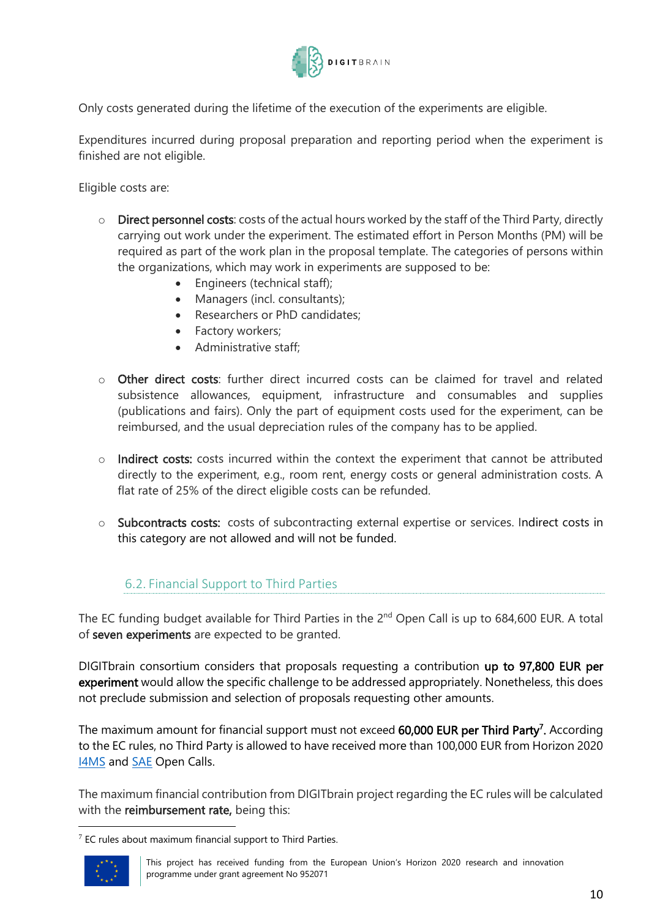

Only costs generated during the lifetime of the execution of the experiments are eligible.

Expenditures incurred during proposal preparation and reporting period when the experiment is finished are not eligible.

Eligible costs are:

- $\circ$  Direct personnel costs: costs of the actual hours worked by the staff of the Third Party, directly carrying out work under the experiment. The estimated effort in Person Months (PM) will be required as part of the work plan in the proposal template. The categories of persons within the organizations, which may work in experiments are supposed to be:
	- Engineers (technical staff);
	- Managers (incl. consultants);
	- Researchers or PhD candidates;
	- Factory workers;
	- Administrative staff;
- o Other direct costs: further direct incurred costs can be claimed for travel and related subsistence allowances, equipment, infrastructure and consumables and supplies (publications and fairs). Only the part of equipment costs used for the experiment, can be reimbursed, and the usual depreciation rules of the company has to be applied.
- o Indirect costs: costs incurred within the context the experiment that cannot be attributed directly to the experiment, e.g., room rent, energy costs or general administration costs. A flat rate of 25% of the direct eligible costs can be refunded.
- o Subcontracts costs: costs of subcontracting external expertise or services. Indirect costs in this category are not allowed and will not be funded.

#### 6.2. Financial Support to Third Parties

<span id="page-9-0"></span>The EC funding budget available for Third Parties in the  $2^{nd}$  Open Call is up to 684,600 EUR. A total of seven experiments are expected to be granted.

DIGITbrain consortium considers that proposals requesting a contribution up to 97,800 EUR per experiment would allow the specific challenge to be addressed appropriately. Nonetheless, this does not preclude submission and selection of proposals requesting other amounts.

The maximum amount for financial support must not exceed 60,000 EUR per Third Party<sup>7</sup>. According to the EC rules, no Third Party is allowed to have received more than 100,000 EUR from Horizon 2020 **[I4MS](https://i4ms.eu/open-calls/)** and **SAE** Open Calls.

The maximum financial contribution from DIGITbrain project regarding the EC rules will be calculated with the reimbursement rate, being this:

 $7$  EC rules about maximum financial support to Third Parties.

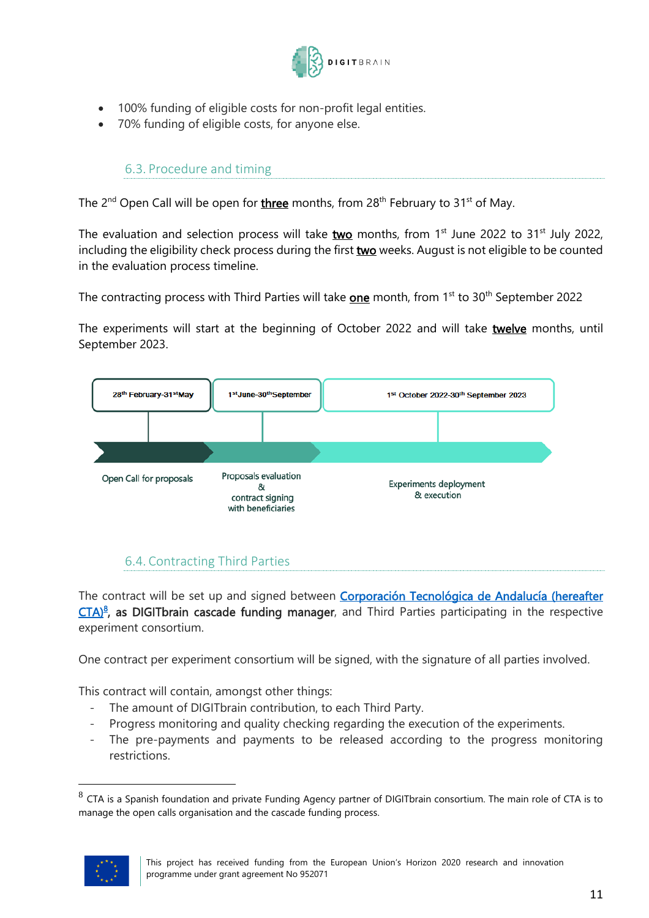

- 100% funding of eligible costs for non-profit legal entities.
- <span id="page-10-0"></span>70% funding of eligible costs, for anyone else.

### 6.3. Procedure and timing

The 2<sup>nd</sup> Open Call will be open for <u>three</u> months, from 28<sup>th</sup> February to 31<sup>st</sup> of May.

The evaluation and selection process will take  $two$  months, from 1<sup>st</sup> June 2022 to 31<sup>st</sup> July 2022,</u> including the eligibility check process during the first two weeks. August is not eligible to be counted in the evaluation process timeline.

The contracting process with Third Parties will take **<u>one</u> month, from 1<sup>st</sup> to 30<sup>th</sup> September 2022** 

The experiments will start at the beginning of October 2022 and will take twelve months, until September 2023.



### 6.4. Contracting Third Parties

<span id="page-10-1"></span>The contract will be set up and signed between **Corporación Tecnológica de Andalucía (hereafter** [CTA\)](https://www.corporaciontecnologica.com/en/index.html)<sup>8</sup>, as DIGITbrain cascade funding manager, and Third Parties participating in the respective experiment consortium.

One contract per experiment consortium will be signed, with the signature of all parties involved.

This contract will contain, amongst other things:

- The amount of DIGITbrain contribution, to each Third Party.
- Progress monitoring and quality checking regarding the execution of the experiments.
- The pre-payments and payments to be released according to the progress monitoring restrictions.

 $^8$  CTA is a Spanish foundation and private Funding Agency partner of DIGITbrain consortium. The main role of CTA is to manage the open calls organisation and the cascade funding process.

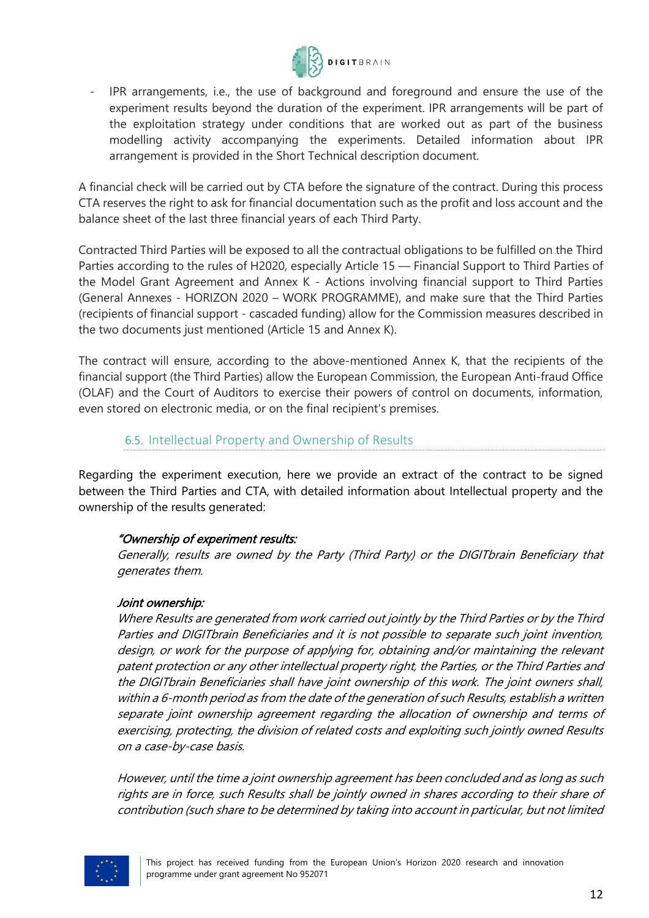

- IPR arrangements, i.e., the use of background and foreground and ensure the use of the experiment results beyond the duration of the experiment. IPR arrangements will be part of the exploitation strategy under conditions that are worked out as part of the business modelling activity accompanying the experiments. Detailed information about IPR arrangement is provided in the Short Technical description document.

A financial check will be carried out by CTA before the signature of the contract. During this process CTA reserves the right to ask for financial documentation such as the profit and loss account and the balance sheet of the last three financial years of each Third Party.

Contracted Third Parties will be exposed to all the contractual obligations to be fulfilled on the Third Parties according to the rules of H2020, especially Article 15 — Financial Support to Third Parties of the Model Grant Agreement and Annex K - Actions involving financial support to Third Parties (General Annexes - HORIZON 2020 – WORK PROGRAMME), and make sure that the Third Parties (recipients of financial support - cascaded funding) allow for the Commission measures described in the two documents just mentioned (Article 15 and Annex K).

The contract will ensure, according to the above-mentioned Annex K, that the recipients of the financial support (the Third Parties) allow the European Commission, the European Anti-fraud Office (OLAF) and the Court of Auditors to exercise their powers of control on documents, information, even stored on electronic media, or on the final recipient's premises.

### 6.5. Intellectual Property and Ownership of Results

<span id="page-11-0"></span>Regarding the experiment execution, here we provide an extract of the contract to be signed between the Third Parties and CTA, with detailed information about Intellectual property and the ownership of the results generated:

#### "Ownership of experiment results:

Generally, results are owned by the Party (Third Party) or the DIGITbrain Beneficiary that generates them.

#### Joint ownership:

Where Results are generated from work carried out jointly by the Third Parties or by the Third Parties and DIGITbrain Beneficiaries and it is not possible to separate such joint invention, design, or work for the purpose of applying for, obtaining and/or maintaining the relevant patent protection or any other intellectual property right, the Parties, or the Third Parties and the DIGITbrain Beneficiaries shall have joint ownership of this work. The joint owners shall, within a 6-month period as from the date of the generation of such Results, establish a written separate joint ownership agreement regarding the allocation of ownership and terms of exercising, protecting, the division of related costs and exploiting such jointly owned Results on a case-by-case basis.

However, until the time a joint ownership agreement has been concluded and as long as such rights are in force, such Results shall be jointly owned in shares according to their share of contribution (such share to be determined by taking into account in particular, but not limited

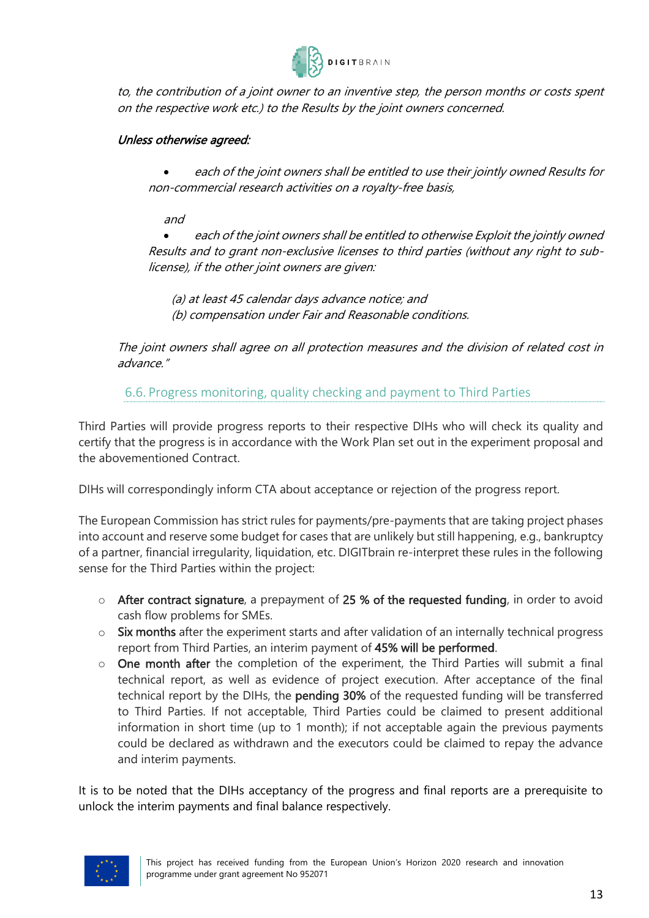

to, the contribution of a joint owner to an inventive step, the person months or costs spent on the respective work etc.) to the Results by the joint owners concerned.

### Unless otherwise agreed:

• each of the joint owners shall be entitled to use their jointly owned Results for non-commercial research activities on a royalty-free basis,

and

• each of the joint owners shall be entitled to otherwise Exploit the jointly owned Results and to grant non-exclusive licenses to third parties (without any right to sublicense), if the other joint owners are given:

(a) at least 45 calendar days advance notice; and (b) compensation under Fair and Reasonable conditions.

The joint owners shall agree on all protection measures and the division of related cost in advance."

6.6. Progress monitoring, quality checking and payment to Third Parties

<span id="page-12-0"></span>Third Parties will provide progress reports to their respective DIHs who will check its quality and certify that the progress is in accordance with the Work Plan set out in the experiment proposal and the abovementioned Contract.

DIHs will correspondingly inform CTA about acceptance or rejection of the progress report.

The European Commission has strict rules for payments/pre-payments that are taking project phases into account and reserve some budget for cases that are unlikely but still happening, e.g., bankruptcy of a partner, financial irregularity, liquidation, etc. DIGITbrain re-interpret these rules in the following sense for the Third Parties within the project:

- o After contract signature, a prepayment of 25 % of the requested funding, in order to avoid cash flow problems for SMEs.
- o Six months after the experiment starts and after validation of an internally technical progress report from Third Parties, an interim payment of 45% will be performed.
- $\circ$  One month after the completion of the experiment, the Third Parties will submit a final technical report, as well as evidence of project execution. After acceptance of the final technical report by the DIHs, the pending 30% of the requested funding will be transferred to Third Parties. If not acceptable, Third Parties could be claimed to present additional information in short time (up to 1 month); if not acceptable again the previous payments could be declared as withdrawn and the executors could be claimed to repay the advance and interim payments.

It is to be noted that the DIHs acceptancy of the progress and final reports are a prerequisite to unlock the interim payments and final balance respectively.

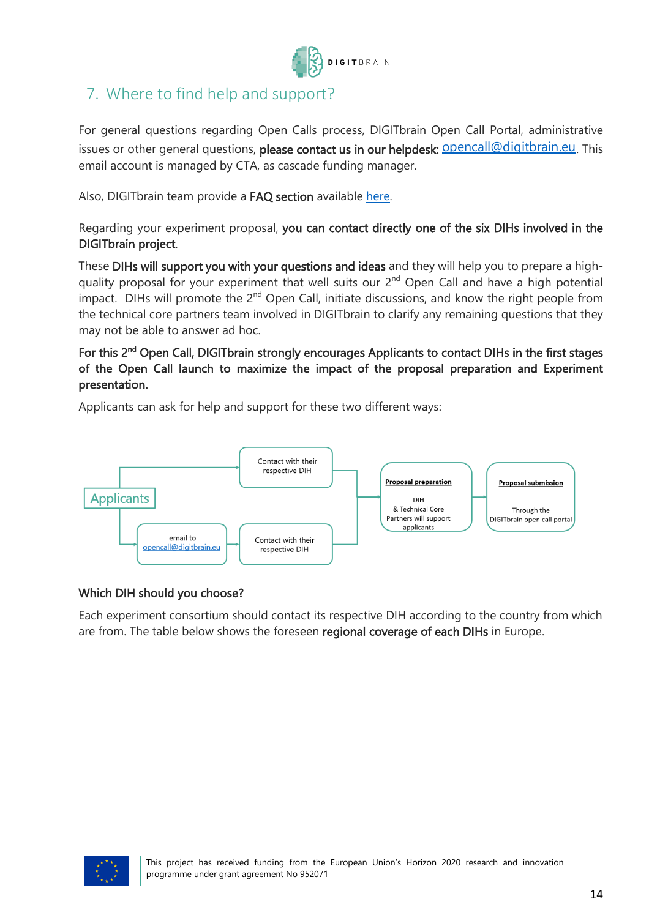

### <span id="page-13-0"></span>7. Where to find help and support?

For general questions regarding Open Calls process, DIGITbrain Open Call Portal, administrative issues or other general questions, please contact us in our helpdesk: **Opencall@digitbrain.eu**. This email account is managed by CTA, as cascade funding manager.

Also, DIGITbrain team provide a FAQ section available [here.](https://digitbrain-2nd-open-call.fundingbox.com/pages/faq)

Regarding your experiment proposal, you can contact directly one of the six DIHs involved in the DIGITbrain project.

These DIHs will support you with your questions and ideas and they will help you to prepare a highquality proposal for your experiment that well suits our 2<sup>nd</sup> Open Call and have a high potential impact. DIHs will promote the 2<sup>nd</sup> Open Call, initiate discussions, and know the right people from the technical core partners team involved in DIGITbrain to clarify any remaining questions that they may not be able to answer ad hoc.

For this 2<sup>nd</sup> Open Call, DIGITbrain strongly encourages Applicants to contact DIHs in the first stages of the Open Call launch to maximize the impact of the proposal preparation and Experiment presentation.

Applicants can ask for help and support for these two different ways:



#### Which DIH should you choose?

Each experiment consortium should contact its respective DIH according to the country from which are from. The table below shows the foreseen regional coverage of each DIHs in Europe.

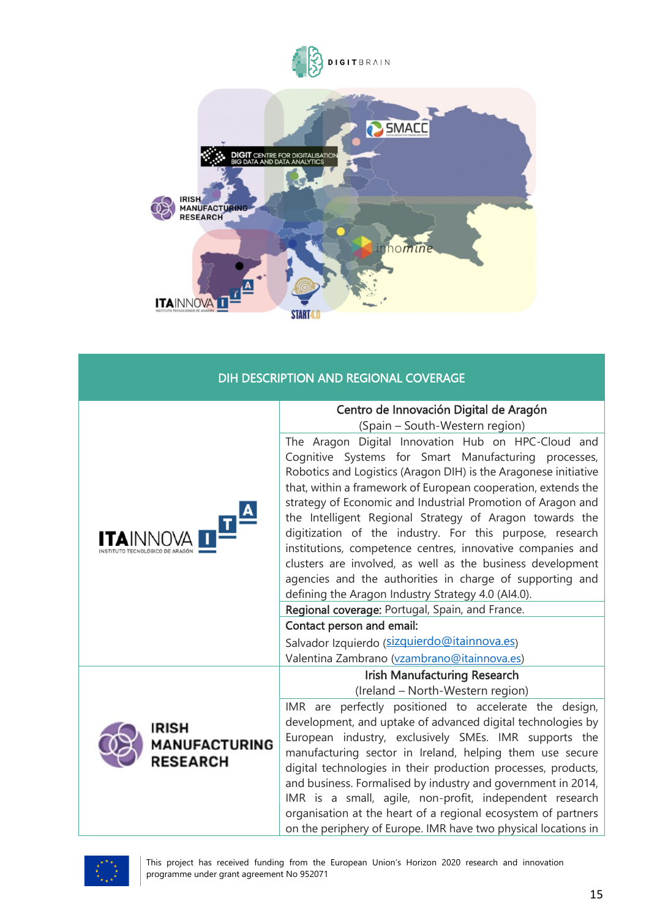



### DIH DESCRIPTION AND REGIONAL COVERAGE

|                                           | Centro de Innovación Digital de Aragón                                                                                                                                                                                                                                                                                                                                                                                                                                                                                                                                                                                                                                             |  |  |
|-------------------------------------------|------------------------------------------------------------------------------------------------------------------------------------------------------------------------------------------------------------------------------------------------------------------------------------------------------------------------------------------------------------------------------------------------------------------------------------------------------------------------------------------------------------------------------------------------------------------------------------------------------------------------------------------------------------------------------------|--|--|
|                                           | (Spain - South-Western region)                                                                                                                                                                                                                                                                                                                                                                                                                                                                                                                                                                                                                                                     |  |  |
|                                           | The Aragon Digital Innovation Hub on HPC-Cloud and<br>Cognitive Systems for Smart Manufacturing processes,<br>Robotics and Logistics (Aragon DIH) is the Aragonese initiative<br>that, within a framework of European cooperation, extends the<br>strategy of Economic and Industrial Promotion of Aragon and<br>the Intelligent Regional Strategy of Aragon towards the<br>digitization of the industry. For this purpose, research<br>institutions, competence centres, innovative companies and<br>clusters are involved, as well as the business development<br>agencies and the authorities in charge of supporting and<br>defining the Aragon Industry Strategy 4.0 (AI4.0). |  |  |
|                                           | Regional coverage: Portugal, Spain, and France.                                                                                                                                                                                                                                                                                                                                                                                                                                                                                                                                                                                                                                    |  |  |
|                                           | Contact person and email:                                                                                                                                                                                                                                                                                                                                                                                                                                                                                                                                                                                                                                                          |  |  |
|                                           | Salvador Izquierdo (sizquierdo@itainnova.es)                                                                                                                                                                                                                                                                                                                                                                                                                                                                                                                                                                                                                                       |  |  |
|                                           | Valentina Zambrano (vzambrano@itainnova.es)                                                                                                                                                                                                                                                                                                                                                                                                                                                                                                                                                                                                                                        |  |  |
|                                           | <b>Irish Manufacturing Research</b>                                                                                                                                                                                                                                                                                                                                                                                                                                                                                                                                                                                                                                                |  |  |
|                                           | (Ireland - North-Western region)                                                                                                                                                                                                                                                                                                                                                                                                                                                                                                                                                                                                                                                   |  |  |
| IRISH<br>MANUFACTURING<br><b>RESEARCH</b> | IMR are perfectly positioned to accelerate the design,<br>development, and uptake of advanced digital technologies by<br>European industry, exclusively SMEs. IMR supports the<br>manufacturing sector in Ireland, helping them use secure<br>digital technologies in their production processes, products,<br>and business. Formalised by industry and government in 2014,<br>IMR is a small, agile, non-profit, independent research<br>organisation at the heart of a regional ecosystem of partners<br>on the periphery of Europe. IMR have two physical locations in                                                                                                          |  |  |

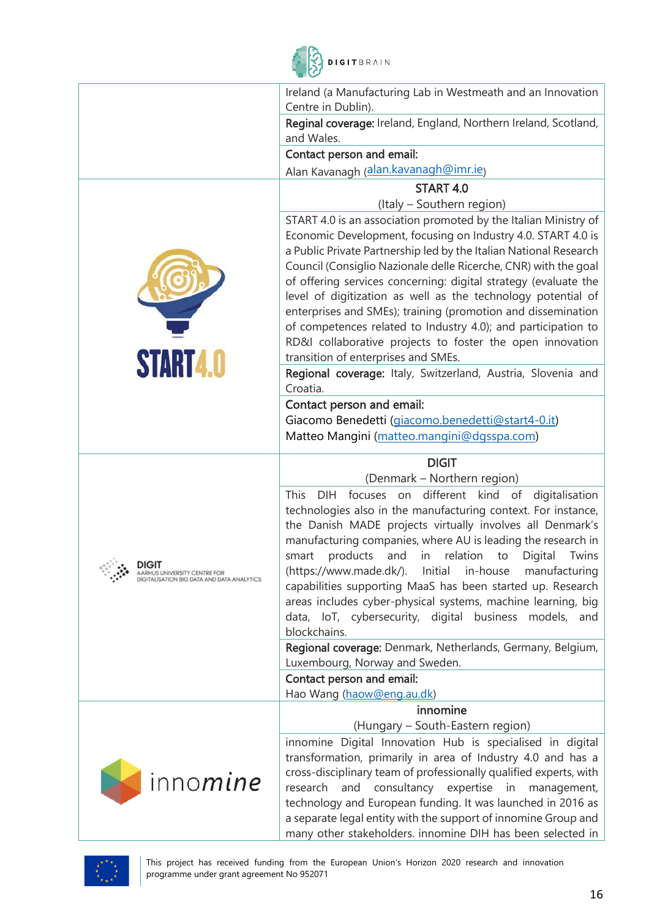

|                                                                                            | Ireland (a Manufacturing Lab in Westmeath and an Innovation                                                                                                                                                                                                                                                                                                                                                                                                                                                                                                                                                                                                                                                     |
|--------------------------------------------------------------------------------------------|-----------------------------------------------------------------------------------------------------------------------------------------------------------------------------------------------------------------------------------------------------------------------------------------------------------------------------------------------------------------------------------------------------------------------------------------------------------------------------------------------------------------------------------------------------------------------------------------------------------------------------------------------------------------------------------------------------------------|
|                                                                                            | Centre in Dublin).                                                                                                                                                                                                                                                                                                                                                                                                                                                                                                                                                                                                                                                                                              |
|                                                                                            | Reginal coverage: Ireland, England, Northern Ireland, Scotland,<br>and Wales.                                                                                                                                                                                                                                                                                                                                                                                                                                                                                                                                                                                                                                   |
|                                                                                            | Contact person and email:                                                                                                                                                                                                                                                                                                                                                                                                                                                                                                                                                                                                                                                                                       |
|                                                                                            | Alan Kavanagh (alan.kavanagh@imr.ie)                                                                                                                                                                                                                                                                                                                                                                                                                                                                                                                                                                                                                                                                            |
|                                                                                            | START 4.0                                                                                                                                                                                                                                                                                                                                                                                                                                                                                                                                                                                                                                                                                                       |
|                                                                                            | (Italy - Southern region)                                                                                                                                                                                                                                                                                                                                                                                                                                                                                                                                                                                                                                                                                       |
| <b>START4.0</b>                                                                            | START 4.0 is an association promoted by the Italian Ministry of<br>Economic Development, focusing on Industry 4.0. START 4.0 is<br>a Public Private Partnership led by the Italian National Research<br>Council (Consiglio Nazionale delle Ricerche, CNR) with the goal<br>of offering services concerning: digital strategy (evaluate the<br>level of digitization as well as the technology potential of<br>enterprises and SMEs); training (promotion and dissemination<br>of competences related to Industry 4.0); and participation to<br>RD&I collaborative projects to foster the open innovation<br>transition of enterprises and SMEs.<br>Regional coverage: Italy, Switzerland, Austria, Slovenia and |
|                                                                                            | Croatia.                                                                                                                                                                                                                                                                                                                                                                                                                                                                                                                                                                                                                                                                                                        |
|                                                                                            | Contact person and email:                                                                                                                                                                                                                                                                                                                                                                                                                                                                                                                                                                                                                                                                                       |
|                                                                                            | Giacomo Benedetti (giacomo.benedetti@start4-0.it)                                                                                                                                                                                                                                                                                                                                                                                                                                                                                                                                                                                                                                                               |
|                                                                                            | Matteo Mangini (matteo.mangini@dgsspa.com)                                                                                                                                                                                                                                                                                                                                                                                                                                                                                                                                                                                                                                                                      |
|                                                                                            | <b>DIGIT</b>                                                                                                                                                                                                                                                                                                                                                                                                                                                                                                                                                                                                                                                                                                    |
|                                                                                            | (Denmark – Northern region)                                                                                                                                                                                                                                                                                                                                                                                                                                                                                                                                                                                                                                                                                     |
| <b>DIGIT</b><br>AAKHUS UNIVEKSITT GENTKE FOR<br>DIGITALISATION BIG DATA AND DATA ANALYTICS | <b>This</b><br>kind of<br><b>DIH</b><br>focuses on<br>different<br>digitalisation<br>technologies also in the manufacturing context. For instance,<br>the Danish MADE projects virtually involves all Denmark's<br>manufacturing companies, where AU is leading the research in<br>products<br>relation<br>and<br>in<br>Twins<br>Digital<br>smart<br>to<br>(https://www.made.dk/). Initial in-house manufacturing<br>capabilities supporting MaaS has been started up. Research<br>areas includes cyber-physical systems, machine learning, big<br>data, IoT, cybersecurity, digital business models, and<br>blockchains.                                                                                       |
|                                                                                            | Regional coverage: Denmark, Netherlands, Germany, Belgium,                                                                                                                                                                                                                                                                                                                                                                                                                                                                                                                                                                                                                                                      |
|                                                                                            | Luxembourg, Norway and Sweden.<br>Contact person and email:                                                                                                                                                                                                                                                                                                                                                                                                                                                                                                                                                                                                                                                     |
|                                                                                            | Hao Wang (haow@eng.au.dk)                                                                                                                                                                                                                                                                                                                                                                                                                                                                                                                                                                                                                                                                                       |
|                                                                                            | innomine                                                                                                                                                                                                                                                                                                                                                                                                                                                                                                                                                                                                                                                                                                        |
|                                                                                            | (Hungary - South-Eastern region)                                                                                                                                                                                                                                                                                                                                                                                                                                                                                                                                                                                                                                                                                |
| inno <i>mine</i>                                                                           | innomine Digital Innovation Hub is specialised in digital<br>transformation, primarily in area of Industry 4.0 and has a<br>cross-disciplinary team of professionally qualified experts, with<br>research and consultancy expertise<br>in<br>management,<br>technology and European funding. It was launched in 2016 as<br>a separate legal entity with the support of innomine Group and<br>many other stakeholders. innomine DIH has been selected in                                                                                                                                                                                                                                                         |